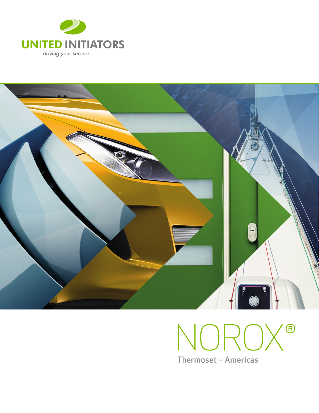



# NOROX® **Thermoset - Americas**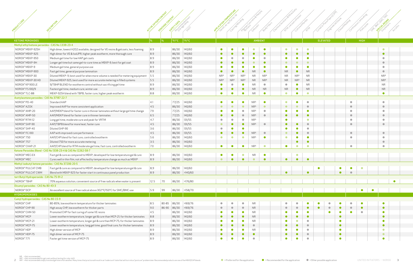|                                                      |                                                                                    |      |                     | Reconnizase                             |                |                 | Engineered Stone<br>Successic.com.<br>Cuttured Marble<br>Closed Mobins<br>Politicans<br>RTM vacuumi<br>Cured Inplace<br>SPOINT RESIDES<br>Continuous la<br>Casting/Will<br>Puttrysion<br>ChemicalA<br>BodyFilet<br>Handlay<br>Gercats<br><b>PITA</b> |                 |                 |                                        |  |           |                 |           |                 |  |           |                         |                        |                         |  |
|------------------------------------------------------|------------------------------------------------------------------------------------|------|---------------------|-----------------------------------------|----------------|-----------------|------------------------------------------------------------------------------------------------------------------------------------------------------------------------------------------------------------------------------------------------------|-----------------|-----------------|----------------------------------------|--|-----------|-----------------|-----------|-----------------|--|-----------|-------------------------|------------------------|-------------------------|--|
|                                                      |                                                                                    |      |                     |                                         |                |                 |                                                                                                                                                                                                                                                      |                 |                 |                                        |  |           |                 |           |                 |  |           |                         |                        |                         |  |
| <b>KETONE PEROXIDES</b>                              |                                                                                    | $\%$ | $\frac{9}{6}$       | $ \hat{F}/\hat{C} $ $ \hat{F}/\hat{C} $ |                |                 |                                                                                                                                                                                                                                                      |                 |                 | <b>AMBIENT</b>                         |  |           |                 |           | <b>ELEVATED</b> |  |           |                         | <b>HIGH</b>            |                         |  |
| Methyl ethyl ketone peroxides - CAS No 1338-23-4     |                                                                                    |      |                     |                                         |                |                 |                                                                                                                                                                                                                                                      |                 |                 |                                        |  |           |                 |           |                 |  |           |                         |                        |                         |  |
| NOROX®MEKP-925H                                      | High dimer, lowest H2O2 available, designed for VE resins & gelcoats, less foaming | 8.9  |                     | 86/30                                   | 140/60         | $\bullet$       |                                                                                                                                                                                                                                                      |                 | O               | $\bullet$                              |  | $\bullet$ | $\bullet$       | $\bullet$ |                 |  |           |                         |                        | $\bullet$               |  |
| NOROX®MEKP-925                                       | High dimer for VE & IsoUPR, higher peak exotherm, more thorough cure               | 8.9  |                     | 86/30                                   | 140/60         | $\bullet$       | $\bullet$                                                                                                                                                                                                                                            | $\bullet$       | $\bullet$       | $\bullet$                              |  | $\bullet$ | $\bullet$       | $\bullet$ |                 |  |           |                         |                        | $\bullet$               |  |
| NOROX®MEKP-950                                       | Medium gel time for low HAP gel coats                                              | 8.9  |                     | 86/30                                   | 140/60         | $\bullet$       | $\bullet$                                                                                                                                                                                                                                            | $\bullet$       | O               | $\bullet$                              |  | $\bullet$ | $\bullet$       | $\bullet$ |                 |  |           |                         |                        | $\bullet$               |  |
| NOROX®MEKP-9H                                        | Longer gel time but same gel-to-cure time as MEKP-9; best for gel coat             | 8.9  |                     | 86/30                                   | 140/60         | $\bullet$       | O                                                                                                                                                                                                                                                    | $\bullet$       |                 | $\bullet$                              |  | $\bullet$ | $\bullet$       | $\bullet$ |                 |  |           |                         |                        | $\bullet$               |  |
| NOROX®MEKP-9                                         | Medium gel time, general purpose use                                               | 8.9  |                     | 86/30                                   | 140/60         |                 |                                                                                                                                                                                                                                                      |                 |                 | $\bullet$                              |  | $\bullet$ | $\bullet$       | $\bullet$ |                 |  |           |                         |                        | $\bullet$               |  |
| NOROX®MEKP-900                                       | Fast gel time, general purpose lamination                                          | 8.9  |                     | 86/30                                   | 140/60         | $\bullet$       | $\bullet$                                                                                                                                                                                                                                            | $\bullet$       | <b>NR</b>       | $\bullet$                              |  | <b>NR</b> | $\bullet$       | <b>NR</b> |                 |  |           |                         |                        | $\bullet$               |  |
| NOROX®MEKP-30                                        | Diluted MEKP-9, best used for when more volume is needed for metering equipment    | 5.5  |                     | 86/30                                   | 140/60         | NR <sup>2</sup> | NR <sup>2</sup>                                                                                                                                                                                                                                      | NR <sup>2</sup> | <b>NR</b>       | NR <sup>2</sup>                        |  | <b>NR</b> | NR <sup>2</sup> | <b>NR</b> |                 |  |           |                         |                        | NR <sup>2</sup>         |  |
| NOROX®MEKP-30 HD                                     | Diluted MEKP-925, best used for more accurate metering in filled systems           | 5.5  |                     | 86/30                                   | 140/60         | NR <sup>2</sup> | NR <sup>2</sup>                                                                                                                                                                                                                                      | NR <sup>2</sup> | NR              | NR <sup>2</sup>                        |  | <b>NR</b> | NR <sup>2</sup> | <b>NR</b> |                 |  |           |                         |                        | NR <sup>2</sup>         |  |
| NOROX® KP 900 LE                                     | 9/TBHP BLEND for exotherm control without sacrificing gel time                     | 8.9  |                     | 86/30                                   | 140/60         | $\bullet$       | $\bullet$                                                                                                                                                                                                                                            | $\bullet$       | NR.             | $\bullet$                              |  | $\bullet$ | $\bullet$       | <b>NR</b> |                 |  |           |                         |                        | <b>NR</b>               |  |
| NOROX®FS100/9                                        | Fastest gel time, medium cure; winter use                                          | 8.9  |                     | 86/30                                   | 140/60         | $\bullet$       |                                                                                                                                                                                                                                                      | $\bullet$       | <b>NR</b>       | <b>NR</b>                              |  | <b>NR</b> | $\bullet$       | <b>NR</b> |                 |  |           |                         |                        | <b>NR</b>               |  |
| NOROX®TLC-88                                         | MEKP-925H blend with TBPB, faster cure, higher peak exotherm                       | 8.8  |                     | 86/30                                   | 140/60         | $\bullet$       | $\bullet$                                                                                                                                                                                                                                            | $\bullet$       | <b>NR</b>       | $\bullet$                              |  | $\bullet$ | $\bullet$       | $\bullet$ |                 |  |           |                         |                        | $\bullet$               |  |
| Acetylacetone peroxides - CAS No 37187-22-7          |                                                                                    |      |                     |                                         |                |                 |                                                                                                                                                                                                                                                      |                 |                 |                                        |  |           |                 |           |                 |  |           |                         |                        |                         |  |
| NOROX®PD-40                                          | Standard AAP                                                                       | 4.1  |                     | 77/25                                   | 140/60         | $\bullet$       |                                                                                                                                                                                                                                                      | $\bullet$       | NR <sup>1</sup> | $\bullet$                              |  | $\bullet$ |                 | $\bullet$ |                 |  |           |                         |                        | $\bullet$               |  |
| NOROX® AZOX                                          | Improved AAP for more consistent application                                       | 4.5  |                     | 86/30                                   | 140/60         | $\bullet$       | $\bullet$                                                                                                                                                                                                                                            | $\bullet$       | NR <sup>1</sup> | $\bullet$                              |  | $\bullet$ | $\bullet$       | $\bullet$ |                 |  |           | $\bullet$               |                        | $\bullet$               |  |
| NOROX® AMP-20                                        | AAP/MEKP blend for faster cure in thinner laminates without large gel time change  | 7.9  |                     | 77/25                                   | 140/60         | $\bullet$       | $\bullet$                                                                                                                                                                                                                                            | $\bullet$       | NR <sup>1</sup> | $\bullet$                              |  | $\bullet$ | $\bullet$       | $\bullet$ |                 |  |           |                         |                        | $\bullet$               |  |
| NOROX®AMP-50                                         | AAP/MEKP blend for faster cure in thinner laminates                                | 6.5  |                     | 77/25                                   | 140/60         | $\bullet$       |                                                                                                                                                                                                                                                      | $\bullet$       | NR <sup>1</sup> | $\bullet$                              |  | $\bullet$ | $\bullet$       | $\bullet$ |                 |  |           | $\qquad \qquad \bullet$ |                        | $\bullet$               |  |
| NOROX®RTM-12                                         | Long gel time, moderate cure and peak for VRTM                                     | 4.7  |                     | 86/30                                   | 131/55         | ٠               | O                                                                                                                                                                                                                                                    | $\bullet$       | NR <sup>1</sup> |                                        |  | $\bullet$ |                 | $\bullet$ |                 |  |           | $\bullet$               |                        | $\bullet$               |  |
| NOROX® SHP-90                                        | AAP/TBPB blend for more heat, faster cure                                          | 4.5  |                     | 86/30   131/55                          |                | $\bullet$       | $\bullet$                                                                                                                                                                                                                                            | $\bullet$       | NR <sup>1</sup> | $\bullet$                              |  | $\bullet$ | $\bullet$       | $\bullet$ |                 |  |           |                         |                        | $\bullet$               |  |
| NOROX® SHP-40                                        | Diluted SHP-90                                                                     | 3.6  |                     | 86/30                                   | 131/55         | $\bullet$       |                                                                                                                                                                                                                                                      |                 |                 |                                        |  |           |                 | $\bullet$ |                 |  |           |                         |                        |                         |  |
| NOROX®FC-100                                         | AAP with improved cure performance                                                 | 4.5  |                     | 86/30                                   | 131/55         | $\bullet$       | $\bullet$                                                                                                                                                                                                                                            | $\bullet$       | NR <sup>1</sup> | $\begin{array}{c} \bullet \end{array}$ |  | $\bullet$ | $\bullet$       | $\bullet$ |                 |  |           | $\bullet$               |                        | $\qquad \qquad \bullet$ |  |
| NOROX®750                                            | AAP/CHP blend for fast cure, controlled exotherm                                   | 5.6  |                     | 86/30                                   | 140/60         | $\bullet$       | $\bullet$                                                                                                                                                                                                                                            | $\bullet$       | NR <sup>1</sup> | $\bullet$                              |  | $\bullet$ | $\bullet$       | $\bullet$ |                 |  |           |                         |                        | $\bullet$               |  |
| NOROX®757                                            | Diluted 750 for more accurate metering                                             | 3.5  |                     | 86/30                                   | 140/60         |                 |                                                                                                                                                                                                                                                      |                 |                 |                                        |  |           |                 | $\bullet$ |                 |  |           |                         |                        | $\bullet$               |  |
| NOROX® CHAP-21                                       | AAP/CHP blend for RTM moderate gel time, fast cure, controlled exotherm            | 7.0  |                     | 86/30                                   | 140/60         | $\bullet$       |                                                                                                                                                                                                                                                      |                 | NR <sup>1</sup> | $\bullet$                              |  | $\bullet$ | $\bullet$       | $\bullet$ |                 |  |           | $\bullet$               |                        | $\bullet$               |  |
|                                                      | Ketone Peroxides Blend - CAS No 1338-23-4 & CAS No 12262-58-7                      |      |                     |                                         |                |                 |                                                                                                                                                                                                                                                      |                 |                 |                                        |  |           |                 |           |                 |  |           |                         |                        |                         |  |
| NOROX®MEC-EX                                         | Fast gel & cure as compared to MEKP; developed for low temperature gel & cure      | 8.9  |                     | 86/30                                   | 140/60         |                 | $\bullet$                                                                                                                                                                                                                                            | $\bullet$       | <b>NR</b>       | $\bullet$                              |  |           |                 |           |                 |  |           |                         |                        |                         |  |
| NOROX <sup>®</sup> MEC                               | Cures well in thin film, not affected by temperature change as much as MEKP        | 8.9  |                     | 86/30 140/60                            |                |                 |                                                                                                                                                                                                                                                      |                 | .               |                                        |  |           |                 |           |                 |  |           |                         |                        |                         |  |
| Methyl isobutyl ketone peroxides - CAS No 37206-20-5 |                                                                                    |      |                     |                                         |                |                 |                                                                                                                                                                                                                                                      |                 |                 |                                        |  |           |                 |           |                 |  |           |                         |                        |                         |  |
| NOROX® PULCAT CMB                                    | Fast gel & cure as compared to MEKP; developed for low temperature gel & cure      | 8,9  |                     | 86/30 140/60                            |                |                 |                                                                                                                                                                                                                                                      |                 |                 |                                        |  |           |                 |           |                 |  | $\bullet$ | $\bullet$               | $\bullet$              |                         |  |
| NOROX® PULCAT CWM                                    | Blend with MEKP-925 for faster start in continuous panel production                | 8.9  |                     |                                         | 86/30 >140/60  |                 |                                                                                                                                                                                                                                                      |                 |                 |                                        |  | $\bullet$ |                 |           |                 |  |           |                         |                        |                         |  |
| tert Butyl Hydroperoxide - CAS No 75-91-2            |                                                                                    |      |                     |                                         |                |                 |                                                                                                                                                                                                                                                      |                 |                 |                                        |  |           |                 |           |                 |  |           |                         |                        |                         |  |
| NOROX®TBHP                                           | 70% aqueous solution; convenient source of free radicals when water is present     | 12.5 | 70                  |                                         | 86/30 >176/80  |                 |                                                                                                                                                                                                                                                      |                 |                 |                                        |  |           |                 |           |                 |  |           |                         |                        | $\bullet$               |  |
| Dicumyl peroxides - CAS No 80-43-3                   |                                                                                    |      |                     |                                         |                |                 |                                                                                                                                                                                                                                                      |                 |                 |                                        |  |           |                 |           |                 |  |           |                         |                        |                         |  |
| NOROX <sup>®</sup> DCP                               | An excellent source of free radical above 302°F/150°C for SMC/BMC use              | 5.9  | 99                  |                                         | 86/30 > 158/70 |                 |                                                                                                                                                                                                                                                      |                 |                 |                                        |  |           |                 |           |                 |  |           |                         | $\bullet$<br>$\bullet$ |                         |  |
| <b>HYDROPEROXIDES</b>                                |                                                                                    |      |                     |                                         |                |                 |                                                                                                                                                                                                                                                      |                 |                 |                                        |  |           |                 |           |                 |  |           |                         |                        |                         |  |
| Cumyl hydroperoxides - CAS No 80-15-9                |                                                                                    |      |                     |                                         |                |                 |                                                                                                                                                                                                                                                      |                 |                 |                                        |  |           |                 |           |                 |  |           |                         |                        |                         |  |
| NOROX <sup>®</sup> CHP                               | 80-85%, low exotherm temperature for thicker laminates                             | 8.5  | 80-85               |                                         | 86/30 >169/76  | $\bullet$       | $\bullet$                                                                                                                                                                                                                                            | $\bullet$       | <b>NR</b>       |                                        |  | $\bullet$ | $\bullet$       |           |                 |  |           |                         | $\bullet$              | $\bullet$               |  |
| NOROX®CHP-90                                         | High assay CHP, low exotherm for thicker parts                                     | 9.0  | 86-90 86/30 >169/76 |                                         |                | $\bullet$       | $\bullet$                                                                                                                                                                                                                                            | $\bullet$       | ${\sf NR}$      |                                        |  | $\bullet$ | $\bullet$       |           |                 |  |           |                         | $\bullet$              | $\bullet$               |  |
| NOROX®CHM-50                                         | Promoted CHP for fast curing of some VE resins                                     | 4.5  |                     | 86/30                                   | 140/60         |                 | O                                                                                                                                                                                                                                                    |                 | <b>NR</b>       |                                        |  |           | $\bullet$       | $\bullet$ |                 |  |           |                         |                        | $\bullet$               |  |
| NOROX <sup>®</sup> MCP                               | Lower exotherm temperature, longer gel & cure than MCP-21; for thicker laminates   | 8.8  |                     | 86/30                                   | 140/60         | $\bullet$       | $\bullet$                                                                                                                                                                                                                                            | $\bullet$       | ${\sf NR}$      |                                        |  | $\bullet$ | $\bullet$       | $\bullet$ |                 |  | $\bullet$ |                         |                        | $\bullet$               |  |
| NOROX®MCP-21                                         | Lower exotherm temperature, longer gel & cure than MCP-75; for thicker laminates   | 8.9  |                     | 86/30                                   | 140/60         | $\bullet$       | $\bullet$                                                                                                                                                                                                                                            | $\bullet$       | <b>NR</b>       |                                        |  | $\bullet$ | $\bullet$       | $\bullet$ |                 |  | $\bullet$ |                         |                        | $\bullet$               |  |
| NOROX®MCP-75                                         | Lower exotherm temperature, long gel time, good final cure; for thicker laminates  | 8.9  |                     | 86/30                                   | 140/60         | $\bullet$       | $\bullet$                                                                                                                                                                                                                                            | $\bullet$       | $\bullet$       |                                        |  | $\bullet$ | $\bullet$       | $\bullet$ |                 |  | $\bullet$ |                         |                        | $\bullet$               |  |
| NOROX <sup>®</sup> HDP                               | High dimer version of MCP                                                          | 8.9  |                     | 86/30                                   | 140/60         | $\bullet$       | O                                                                                                                                                                                                                                                    | $\bullet$       | <b>NR</b>       |                                        |  | $\bullet$ | $\bullet$       | $\bullet$ |                 |  | $\bullet$ |                         |                        | $\bullet$               |  |
| NOROX <sup>®</sup> HDP-75                            | High dimer version of MCP-75                                                       | 8.9  |                     | 86/30                                   | 140/60         | $\bullet$       | $\bullet$                                                                                                                                                                                                                                            | $\bullet$       | $\bullet$       |                                        |  | $\bullet$ | $\bullet$       | $\bullet$ |                 |  | $\bullet$ |                         |                        | $\bullet$               |  |
| NOROX <sup>®</sup> 771                               | Faster gel time version of MCP-75                                                  | 8.9  |                     | 86/30 140/60                            |                | $\bullet$       | $\bullet$                                                                                                                                                                                                                                            | $\bullet$       | $\bullet$       |                                        |  | $\bullet$ | $\bullet$       | $\bullet$ |                 |  |           |                         |                        | $\bullet$               |  |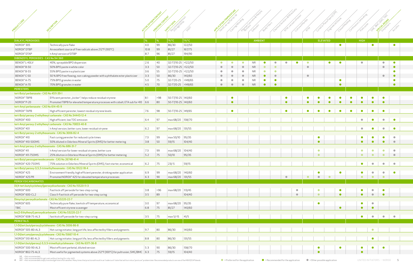

|                                                         |                                                                                   |      | PERIOR DE CONTENT | SPEECH DATA<br>Re storage                |                     |           | Casting/Windi | Podnicrons | Getcoats       | BootyFill              | RTM, vacuu<br>Cutture   |           | Cureo     | Engine                   | Closed Modine | Continu | Puttrusion  | SUC BACCARC.            | SACCIALRES              |  |
|---------------------------------------------------------|-----------------------------------------------------------------------------------|------|-------------------|------------------------------------------|---------------------|-----------|---------------|------------|----------------|------------------------|-------------------------|-----------|-----------|--------------------------|---------------|---------|-------------|-------------------------|-------------------------|--|
|                                                         |                                                                                   |      |                   |                                          |                     |           |               |            |                |                        |                         |           |           |                          |               |         |             |                         |                         |  |
| DIALKYL PEROXIDES                                       |                                                                                   | %    | $\frac{9}{6}$     | $ \hat{F}/\hat{C} $                      | $ \hat{F}/\hat{C} $ |           |               |            | <b>AMBIENT</b> |                        |                         |           |           | <b>ELEVATED</b>          |               |         | <b>HIGH</b> |                         |                         |  |
| NOROX <sup>®</sup> 305                                  | Technically pure flake                                                            | 4.0  | 99                | 86/30                                    | 122/50              |           |               |            |                |                        |                         |           |           |                          | $\bullet$     |         |             | $\bullet$               |                         |  |
| NOROX <sup>®</sup> DTBP                                 | An excellent source of free radicals above 212°F (100°C)                          | 10.8 | 99                | 81/27                                    | 167/75              |           |               |            |                |                        |                         |           |           |                          |               |         |             |                         |                         |  |
| NOROX <sup>®</sup> DTAP                                 | t-Amyl version of DTBP                                                            | 8.7  | 96                | 81/27                                    | 194/90              |           |               |            |                |                        |                         |           |           |                          |               |         |             |                         |                         |  |
| DIBENZOYL PEROXIDES - CAS No 94-360                     |                                                                                   |      |                   |                                          |                     |           |               |            |                |                        |                         |           |           |                          |               |         |             |                         |                         |  |
| BENOX®L-40LV                                            | 40%, sprayable BPO dispersion                                                     | 2.6  | 40                | 32-77/10-25 >122/50                      |                     | $\bullet$ | $\bullet$     | $\bullet$  | <b>NR</b>      | Ο<br>$\bullet$         | $\bullet$<br>٠          |           |           |                          | $\bullet$     |         | $\bullet$   |                         | $\bullet$               |  |
| BENOX®B-50                                              | 50% BPO paste in white color                                                      | 3.3  | 50                | 32-77/10-25 >122/50                      |                     | $\bullet$ | $\bullet$     | $\bullet$  | <b>NR</b>      | $\bullet$<br>$\bullet$ |                         |           |           |                          |               |         |             |                         | $\qquad \qquad \bullet$ |  |
| BENOX®B-55                                              | 55% BPO paste in a plasticizer                                                    | 3.6  | 55                | 32-77/10-25 >122/50                      |                     |           | $\bullet$     | $\bullet$  | <b>NR</b>      | $\bullet$<br>$\bullet$ |                         |           |           |                          |               |         |             |                         |                         |  |
| BENOX®C-50                                              | 50 % BPO free flowing, non-caking powder with a phthalate ester plasticizer       | 3.3  | 50                | 86/30                                    | 140/60              | $\bullet$ | $\bullet$     | $\bullet$  | <b>NR</b>      | $\bullet$<br>$\bullet$ |                         | $\bullet$ |           |                          |               |         |             |                         | $\bullet$               |  |
| BENOX®A-75                                              | 75% BPO granules in water                                                         | 5.0  | 75                | 32-77/0-25 >149/65                       |                     | $\bullet$ | $\bullet$     | $\bullet$  | <b>NR</b>      | Ο<br>$\bullet$         |                         |           |           |                          | $\bullet$     |         |             |                         |                         |  |
| BENOX®A-70                                              | 70% BPO granules in water                                                         | 4.5  | 70                | 32-77/0-25 >149/65                       |                     | $\bullet$ | $\bullet$     | $\bullet$  | <b>NR</b>      | $\bullet$<br>$\bullet$ |                         |           |           |                          | $\bullet$     |         |             |                         |                         |  |
| <b>PERESTERS</b>                                        |                                                                                   |      |                   |                                          |                     |           |               |            |                |                        |                         |           |           |                          |               |         |             |                         |                         |  |
| tert-Butyl perbenzoate - CAS No 4511-39-1               |                                                                                   |      |                   |                                          |                     |           |               |            |                |                        |                         |           |           |                          |               |         |             |                         |                         |  |
| NOROX <sup>®</sup> TBPB                                 | Efficient perester, "kicker", helps reduce residual styrene                       | 8.1  | >98               | 50-77/10-25 140/60                       |                     |           | $\bullet$     |            |                |                        | $\bullet$               |           |           |                          |               |         |             |                         | $\bullet$               |  |
| NOROX®P-20                                              | Promoted TBPB for elevated temperature processes with cobalt; ETA sub for 410 6.6 |      | 80                | 50-77/10-25 140/60                       |                     |           | $\bullet$     |            |                |                        |                         |           |           |                          |               |         |             |                         |                         |  |
| tert-Amyl perbenzoate - CAS No 614-45-9                 |                                                                                   |      |                   |                                          |                     |           |               |            |                |                        |                         |           |           |                          |               |         |             |                         |                         |  |
| NOROX®TAPB                                              | High efficient perester, lowest residual styrene levels                           | 7.6  | 98                | 50-77/10-25 149/65                       |                     |           | $\bullet$     |            |                |                        |                         |           |           |                          |               |         |             |                         |                         |  |
|                                                         | tert-Butyl peroxy-2-ethylhexyl carbonate - CAS No 34443-12-4                      |      |                   |                                          |                     |           |               |            |                |                        |                         |           |           |                          |               |         |             |                         |                         |  |
| NOROX <sup>®</sup> 400                                  | High efficient, low TOC-emission                                                  | 6.4  | 97                | max 68/20   158/70                       |                     |           |               |            |                |                        |                         |           |           |                          |               |         |             |                         |                         |  |
|                                                         | tert-Amyl peroxy-2-ethylhexyl carbonate - CAS No 70833-40-8                       |      |                   |                                          |                     |           |               |            |                |                        |                         |           |           |                          |               |         |             |                         |                         |  |
| NOROX <sup>®</sup> 401                                  | t-Amyl version, better cure, lower residual stryene                               | 6.2  | 97                | max 68/20   131/55                       |                     |           |               |            |                |                        |                         |           |           |                          |               |         |             |                         |                         |  |
| tert-Butyl peroxy-2-ethylhexanoate - CAS No 3006-82-4   |                                                                                   |      |                   |                                          |                     |           |               |            |                |                        |                         |           |           |                          |               |         |             |                         |                         |  |
| NOROX <sup>®</sup> 410                                  | Fast curing perester for reduced cycle times                                      | 7.3  | 99                | max 50/10                                | 95/35               |           |               |            |                |                        |                         |           | $\bullet$ |                          |               |         |             |                         |                         |  |
| NOROX® 410-500MS                                        | 50% diluted in Odorless Mineral Spirits (OMS) for better metering                 | 3.8  | 50                | 59/15                                    | 104/40              |           |               |            |                |                        |                         |           |           |                          |               |         |             |                         |                         |  |
| tert-Amyl peroxy-2-ethylhexanoate - CAS No 686-31-7     |                                                                                   |      |                   |                                          |                     |           |               |            |                |                        |                         |           |           |                          |               |         |             |                         |                         |  |
| NOROX <sup>®</sup> 411                                  | t-Amyl version for lower residual stryene, better cure                            | 7.3  | 99                | max 68/20 104/40                         |                     |           |               |            |                |                        |                         |           | $\bullet$ |                          |               |         |             |                         |                         |  |
| NOROX®411-750MS                                         | 25% dilution in Odorless Mineral Spirits (OMS) for better metering                | 5.2  | 75                | 50/10                                    | 95/35               |           |               |            |                |                        |                         |           |           |                          |               |         |             |                         |                         |  |
| tert-Butyl peroxyperneodecanoate - CAS No 26748-41-4    |                                                                                   |      |                   |                                          |                     |           |               |            |                |                        |                         |           |           |                          |               |         |             |                         |                         |  |
| NOROX® 420-750MS                                        | 75% solution in Odorless Mineral Spirits (OMS), fast starter, economical          | 6.2  | 75                | $23/-5$                                  | 59/15               |           |               |            |                |                        |                         |           |           |                          |               |         |             |                         |                         |  |
|                                                         | tert-Butyl peroxy-3,5,5-trimethylhexanoate - CAS No 13122-18-4                    |      |                   |                                          |                     |           |               |            |                |                        |                         |           |           |                          |               |         |             |                         |                         |  |
| NOROX <sup>®</sup> 425                                  | Environment friendly, high efficient perester, drinking water application         | 6.9  | 99                | max 68/20 140/60                         |                     |           |               |            |                |                        |                         |           | $\bullet$ |                          | $\bullet$     |         | $\bullet$   | $\bullet$               |                         |  |
| NOROX <sup>®</sup> 425 PR                               | Promoted NOROX® 425 for elevated temperature processes                            | 6.3  | 90                | max 68/20 131/55                         |                     |           |               |            |                |                        | $\qquad \qquad \bullet$ | $\bullet$ | $\bullet$ | $\overline{\phantom{a}}$ |               |         | $\bullet$   | $\bullet$               | $\bullet$               |  |
| PEROXYDICARBONATES                                      |                                                                                   |      |                   |                                          |                     |           |               |            |                |                        |                         |           |           |                          |               |         |             |                         |                         |  |
|                                                         | Di(4-tert.butylcyclohexyl)peroxydicarbonate - CAS No 15520-11-3                   |      |                   |                                          |                     |           |               |            |                |                        |                         |           |           |                          |               |         |             |                         |                         |  |
| NOROX <sup>®</sup> 600                                  | Fast kick off peroxide for two-step curing                                        | 3.8  | >96               | max 68/20   113/45                       |                     |           |               |            |                |                        | $\bullet$               |           | $\bullet$ |                          | $\bullet$     |         | $\bullet$   | $\bullet$               | $\bullet$               |  |
| NOROX® 600-CL2                                          | Class II-Fast kick off peroxide for two-step curing                               | 3.5  | 89                |                                          | 104/40              |           |               |            |                |                        |                         |           |           |                          | $\bullet$     |         | $\bullet$   | $\qquad \qquad \bullet$ | $\bullet$               |  |
| Dimyrisyl peroxydicarbonate                             | - CAS No 53220-22-7                                                               |      |                   |                                          |                     |           |               |            |                |                        |                         |           |           |                          |               |         |             |                         |                         |  |
| NOROX <sup>®</sup> 605                                  | Technically pure flake, low kick off temperature, economical                      | 3.0  | 97                | max 68/20 95/35                          |                     |           |               |            |                |                        |                         |           | $\bullet$ |                          |               |         | $\bullet$   | $\bullet$               |                         |  |
| TBIC                                                    | Most efficent styrene scavenger                                                   | 6.8  | 75                | 81/27                                    | 140/60              |           |               |            |                |                        |                         |           |           |                          | $\bullet$     |         | $\bullet$   | $\bullet$               |                         |  |
| bis(2-Ethylhexyl) peroxydicarbonate - CAS No 53220-22-7 |                                                                                   |      |                   |                                          |                     |           |               |            |                |                        |                         |           |           |                          |               |         |             |                         |                         |  |
| NOROX® 608-75-AL3                                       | fast kick off peroxide for two-step curing                                        | 3.5  | 75                | $\frac{1}{2}$ max 5/-15 $\frac{1}{41/5}$ |                     |           |               |            |                |                        |                         |           |           |                          |               |         | $\bullet$   | $\bullet$               |                         |  |
| <b>PERKETALS</b>                                        |                                                                                   |      |                   |                                          |                     |           |               |            |                |                        |                         |           |           |                          |               |         |             |                         |                         |  |
| 1,1-Di(tert.butylperoxy)cyclohexane - CAS No 3006-86-8  |                                                                                   |      |                   |                                          |                     |           |               |            |                |                        |                         |           |           |                          |               |         |             |                         |                         |  |
| NOROX® 505-80-AL3                                       | Hot curing initiator, long pot life, less affected by fillers and pigments        | 9.7  | 80                | 86/30                                    | 140/60              |           |               |            |                |                        |                         |           |           |                          |               |         |             | $\bullet$               |                         |  |
| 1,1-Di(tert.amylperoxy)cyclohexane - CAS No 15667-10-4  |                                                                                   |      |                   |                                          |                     |           |               |            |                |                        |                         |           |           |                          |               |         |             |                         |                         |  |
| NOROX® 510-80-AL3                                       | Hot curing initiator, long pot life, less affected by fillers and pigments        | 8.8  | 80                | 86/30                                    | 131/55              |           |               |            |                |                        |                         |           |           |                          |               |         |             | $\bullet$               |                         |  |
|                                                         | 1,1-Di(tert.butylperoxy)-3,3,5-trimethylcyclohexane - CAS No 6371-36-8            |      |                   |                                          |                     |           |               |            |                |                        |                         |           |           |                          |               |         |             |                         |                         |  |
| NOROX® 500-90-AL3                                       | Most efficient perketal, diluted version                                          | 5.3  | 90                | 86/30                                    | 158/70              |           |               |            |                |                        |                         |           | $\bullet$ |                          | $\bullet$     |         | $\bullet$   | $\bullet$               | $\bullet$               |  |
| NOROX®802-75-AL3                                        | Most useful for pigmented systems above 212°F (100°C) for pultrusion, SMC/BMC 6.3 |      | 75                | 59/15                                    | 104/40              |           |               |            |                |                        |                         |           |           |                          |               |         |             |                         |                         |  |
|                                                         |                                                                                   |      |                   |                                          |                     |           |               |            |                |                        |                         |           |           |                          |               |         |             |                         |                         |  |

4 NR<sup>2</sup> =Notrecommended simply to extend gel time in hot weather. Many times that practice will result in an "undercure" state that will turninto a "postcure" groblem later. Recommended products are one of the MEKP/CHP ble NR = Not recommended<br>NR = Not recommended for gel coats without testing for color shift<br>NR = = Not recommended simply to extend gel time in hot weather. Many times that practice will result in an "undercure" state that wil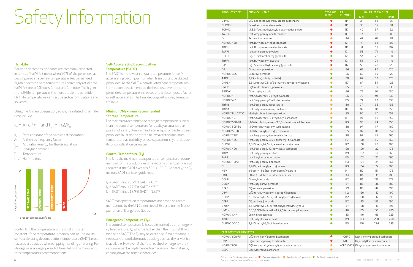# Half-Life

Peroxide decomposition rates are commonly reported in terms of half-life time or when 50% of the peroxide has decomposed at a certain temperature. Recommended organic peroxide heat temperatures commonly reflect the half-life time at 10 hours, 1 hour and 1 minute. The higher the half-life temperature, the more stable the peroxide. Half-life temperatures can vary based on formulations and solvents.

Using the Arrhenius equation, acronyms related to half-life time include:

 $k_d = A \cdot e^{-E} A^{\prime RT}$  and  $t_{1/2} = \ln 2/k_d$ 

- $k_d$ : Rate constant of the peroxide dissociation
- A: Arrhenius frequency factor
- $E_A$ : Activation energy for the dissociation<br>R: Ideal gas constant
- Ideal gas constant
- T: Temperature
- $t_{1/2}$ : Half-life time

Controlling the temperature is the most important constant. If the temperature is maintained well below its self-accelerating decomposition temperature (SADT), most hazards are avoided when shipping, handling or storing. For storage over a longer period of time, follow the manufacturer's temperature recommendations.

The  $T_c$  is the maximum transportation temperature recommended for the product's estimated time of arrival.  $T_c$  is not required if the SADT exceeds 50°C (122°F). Generally, the  $T_c$ mirrors SADT canister guidelines.

 $T_c$  = SADT minus 36°F if SADT < 68°F  $T_c$  = SADT minus 27°F if SADT < 95°F  $T_c$  = SADT minus 18°F if SADT < 122°F

# Self-Accelerating Decomposition Temperature (SADT)

The SADT is the lowest constant temperature for selfaccelerating decomposition when transporting packaged peroxides. At the SADT, when elevated heat temperatures from decomposition exceed the heat loss, over time, the peroxide's temperature increases and it decomposes faster or self-accelerates. The final decomposition may be uncontrollable.

The control temperature  $T_c$  is supplemented by an emergency temperature,  $T_{\rm e}$ , which is higher than the  $T_{\rm c}$  but still well below the SADT. The  $T_c$  may be exceeded if maintenance is necessary or until alternative cooling such as dry or wet ice is available. However, if the  $T<sub>P</sub>$  is reached, emergency procedures must be implemented immediately – for instance, cooling down the organic peroxides.

# Minimum/Maximum Recommended Storage Temperature

The maximum recommended storage temperature is lower than the control temperature for quality assurance purposes not safety. Keep in mind, some liquid or paste organic peroxides must not be stored below a certain minimum temperature as turbidity, phase separation, crystal deposits or solidification can occur.

# Control Temperature  $(T_c)$

SADT transportation temperatures are based on recommendations by the UN Committee of Experts on the Transportation of Dangerous Goods.

# Emergency Temperature (T<sub>e</sub>)

| <b>PRODUCT CODE</b>   | <b>CHEMICAL NAME</b>                                 | STORAGE<br>TEMP | EA<br>[KJ/MOL]                         | HALF LIFE TIME [°C] |                               |       |  |
|-----------------------|------------------------------------------------------|-----------------|----------------------------------------|---------------------|-------------------------------|-------|--|
|                       |                                                      |                 |                                        | 10H                 | 1H                            | 1 MIN |  |
| <b>DIPND</b>          | Di(2-neodecanoylperoxy-isopropyl)benzene             | $\bullet$       | 114                                    | 37                  | 54                            | 85    |  |
| <b>CUPND</b>          | Cumylperoxy-neodecanoate                             | $\bullet$       | 115                                    | 38                  | 55                            | 90    |  |
| <b>TOPND</b>          | 1,1,3,3-Tetramethylbutylperoxy-neodecanoate          | $\bullet$       | $117$                                  | 40                  | 57                            | 92    |  |
| <b>TAPND</b>          | tert. Amylperoxy-neodecanoate                        | $\bullet$       | 113                                    | 44                  | 62                            | 100   |  |
| $^\ast)$              | Peroxydicarbonates                                   | $\bullet$       | 144                                    | 47                  | 61                            | 90    |  |
| NOROX®420             | tert. Butylperoxy-neodecanoate                       | $\bullet$       | 121                                    | 47                  | 64                            | 100   |  |
| <b>TBPNH</b>          | tert. Butylperoxy-neoheptanoate                      |                 | 116                                    | 51                  | 69                            | 107   |  |
| <b>TAPPI</b>          | tert. Amylperoxy-pivalate                            | $\bullet$       | 121                                    | 53                  | 71                            | 110   |  |
| <b>DCLBP</b>          | Di(2,4-dichlorobenzoyl)peroxide                      | $\bullet$       | 121                                    | 54                  | 72                            | 110   |  |
| <b>TBPPI</b>          | tert. Butylperoxy-pivalate                           | $\bullet$       | 121                                    | 56                  | 74                            | 110   |  |
| <b>INP</b>            | Di(3,5,5-trimethyl-hexanoyl)peroxide                 | $\bullet$       | 117                                    | 59                  | 78                            | 120   |  |
| <b>DP</b>             | Didecanoyl-peroxide                                  | $\bullet$       | 126                                    | 62                  | 80                            | 120   |  |
| NOROX®305             | Dilauroyl-peroxide                                   | $\bullet$       | 126                                    | 62                  | 80                            | 120   |  |
| AIBN                  | 2,2'Azobis(isobutyronitrile)                         | $\bullet$       | 130                                    | 62                  | 80                            | 120   |  |
| <b>DHPEH</b>          | 2,5-Dimethyl-2,5-di(2-ethylhexanoylperoxy)hexane     | $\bullet$       | 137                                    | 67                  | 84                            | 125   |  |
| <b>PMBP</b>           | Di(4-methylbenzoyl)peroxide                          | $\bullet$       | 125                                    | 70                  | 89                            | 130   |  |
| <b>BENOX®</b>         | Dibenzoyl-peroxide                                   | $\bullet$       | 126                                    | 72                  | 91                            | 130   |  |
| NOROX®411             | tert.Amylperoxy-2-ethylhexanoate                     | $\bullet$       | 126                                    | 72                  | 91                            | 130   |  |
| NOROX® 410            | tert.Butylperoxy-2-ethylhexanoate                    | $\bullet$       | 135                                    | 74                  | 92                            | 130   |  |
| <b>TBPIB</b>          | tert.Butylperoxy-isobutyrate                         | $\bullet$       | 130                                    | $77$                | 96                            | 135   |  |
| <b>TBPM</b>           | tert.Butyl-monoperoxy-maleate                        | $\bullet$       | 116                                    | 82                  | 104                           | 150   |  |
| NOROX® PULCAT C       | Methylisobutylketoneperoxide                         | $\bullet$       | 125                                    | 90                  | 110                           | 155   |  |
| NOROX® 401            | tert.Amylperoxy-(2-ethylhexyl)carbonate              | $\bullet$       | 151                                    | 95                  | 113                           | 150   |  |
| NOROX® 500-90         | 1,1-Di(tert.butylperoxy)-3,5,5-trimethyl-cyclohexane | $\bullet$       | 143                                    | 95                  | 114                           | 155   |  |
| NOROX® 505-80         | 1,1-Di(tert.butylperoxy)cyclohexane                  | $\bullet$       | 138                                    | 97                  | 117                           | 160   |  |
| NOROX® 510-80         | 1,1-Di(tert.amylperoxy)cyclohexane                   | $\bullet$       | 135                                    | 87                  | 106                           | 152   |  |
| NOROX® TBIC           | tert.Butylperoxy-isopropylcarbonate                  | $\bullet$       | 138                                    | 97                  | 117                           | 160   |  |
| NOROX®425             | tert.Butylperoxy-3,5,5-trimethyl-hexanoate           | $\bullet$       | 147                                    | 100                 | 119                           | 160   |  |
| <b>DHPBZ</b>          | 2,5-Dimethyl-2,5-di(benzoylperoxy)hexane             | $\bullet$       | 147                                    | 100                 | 119                           | 160   |  |
| NOROX® 400            | tert.Butylperoxy-(2-ethylhexyl)carbonate             | $\bullet$       | 128                                    | 100                 | 122                           | 175   |  |
| <b>TBPA</b>           | tert.Butylperoxy-acetate                             | Ο               | 149                                    | 102                 | 121                           | 160   |  |
| <b>TAPB</b>           | tert.Amylperoxy-benzoate                             | $\bullet$       | 143                                    | 102                 | 122                           | 160   |  |
| NOROX® TBPB           | tert.Butylperoxy-benzoate                            | $\bullet$       | 143                                    | 104                 | 124                           | 165   |  |
| <b>BU</b>             | 2,2-Di(tert.butylperoxy)butane                       | $\bullet$       | 143                                    | 104                 | 124                           | 165   |  |
| <b>NBV</b>            | n-Butyl-4,4-di(tert.butylperoxy)valerate             |                 | 141                                    | 110                 | 131                           | 175   |  |
| EBU                   | Ethyl-3,3-di(tert.butylperoxy)butyrate               | 0               | 144                                    | 114                 | 135                           | 180   |  |
| <b>DCUP</b>           | Dicumyl-peroxide                                     |                 | 152                                    | 116                 | 136                           | 175   |  |
| <b>BCUP</b>           | tert.Butylcumyl-peroxide                             | $\bullet$       | 154                                    | 118                 | 138                           | 180   |  |
| <b>DTAP</b>           | Di(tert.amyl)peroxide                                | $\bullet$       | 129                                    | 118                 | 142                           | 190   |  |
| <b>DIPP</b>           | Di(2-tert.butylperoxy-isopropyl)benzene              | $\bullet$       | 142                                    | 120                 | 142                           | 190   |  |
| DHBP                  | 2,5-Dimethyl-2,5-di(tert.butylperoxy)hexane          | $\bullet$       | 142                                    | 120                 | 142                           | 190   |  |
| <b>DTBP</b>           | Di(tert.butyl)peroxide                               | $\bullet$       | 152                                    | 125                 | 146                           | 190   |  |
| <b>DYBP</b>           | 2,5-Dimethyl-2,5-di(tert.butylperoxy)hexyne-3        | $\bullet$       | 154                                    | 128                 | 149                           | 195   |  |
| <b>HMCN</b>           | 3,3,6,6,9,9,-Hexamethyl-1,2,4,5-tetraoxa-cyclononane | $\bullet$       | 146                                    | 135                 | 158                           | 205   |  |
| NOROX® CHP            | Cumyl-hydroperoxide                                  | $\bullet$       | 133                                    | 140                 | 166                           | 223   |  |
| TBHP                  | tert.Butyl-hydroperoxide                             | $\bullet$       | 149                                    | 173                 | 200                           | 260   |  |
| CUROX® CC-DC          | 2,3-Dimethyl-2,3-diphenylbutane                      |                 | 195                                    | 210                 | 234                           | 285   |  |
| *) PEROXYDICARBONATES |                                                      |                 |                                        |                     |                               |       |  |
| NOROX® 608-75         | Di(2-ethylhexyl)peroxydicarbonate                    | $\bullet$       | CHPC                                   |                     | Dicyclohexylperoxydicarbonate |       |  |
| SBPC                  | Di(sec-butyl)peroxydicarbonate                       | $\bullet$       | <b>NBPC</b>                            |                     | Di(n-butyl)peroxydicarbonate  |       |  |
| NOROX® 600            | Di(4-tert.butylcyclohexyl)peroxydicarbonate          | $\bullet$       | NOROX® 605 Dimyristylperoxydicarbonate |                     |                               |       |  |
| CEPC                  | Dicetylperoxydicarbonate                             | $\bullet$       |                                        |                     |                               |       |  |
|                       |                                                      |                 |                                        |                     |                               |       |  |

6 7 For precise values see specific product data sheetsde for storage temperature:  $\bigcirc$  = Deep refrigeration  $\bigcirc$  = Moderate refrigeration  $\bigcirc$  = Ambient temperature

# Safety Information